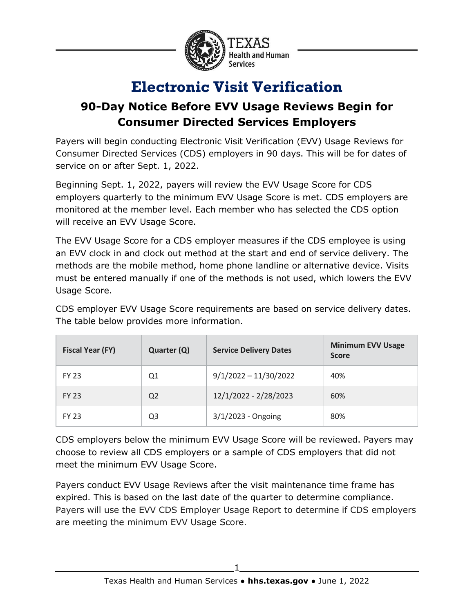

## **Electronic Visit Verification**

## **90-Day Notice Before EVV Usage Reviews Begin for Consumer Directed Services Employers**

Payers will begin conducting Electronic Visit Verification (EVV) Usage Reviews for Consumer Directed Services (CDS) employers in 90 days. This will be for dates of service on or after Sept. 1, 2022.

Beginning Sept. 1, 2022, payers will review the EVV Usage Score for CDS employers quarterly to the minimum EVV Usage Score is met. CDS employers are monitored at the member level. Each member who has selected the CDS option will receive an EVV Usage Score.

The EVV Usage Score for a CDS employer measures if the CDS employee is using an EVV clock in and clock out method at the start and end of service delivery. The methods are the mobile method, home phone landline or alternative device. Visits must be entered manually if one of the methods is not used, which lowers the EVV Usage Score.

CDS employer EVV Usage Score requirements are based on service delivery dates. The table below provides more information.

| <b>Fiscal Year (FY)</b> | Quarter (Q)    | <b>Service Delivery Dates</b> | <b>Minimum EVV Usage</b><br><b>Score</b> |
|-------------------------|----------------|-------------------------------|------------------------------------------|
| <b>FY 23</b>            | Q1             | $9/1/2022 - 11/30/2022$       | 40%                                      |
| <b>FY 23</b>            | Q <sub>2</sub> | 12/1/2022 - 2/28/2023         | 60%                                      |
| <b>FY 23</b>            | Q3             | 3/1/2023 - Ongoing            | 80%                                      |

CDS employers below the minimum EVV Usage Score will be reviewed. Payers may choose to review all CDS employers or a sample of CDS employers that did not meet the minimum EVV Usage Score.

Payers conduct EVV Usage Reviews after the visit maintenance time frame has expired. This is based on the last date of the quarter to determine compliance. Payers will use the EVV CDS Employer Usage Report to determine if CDS employers are meeting the minimum EVV Usage Score.